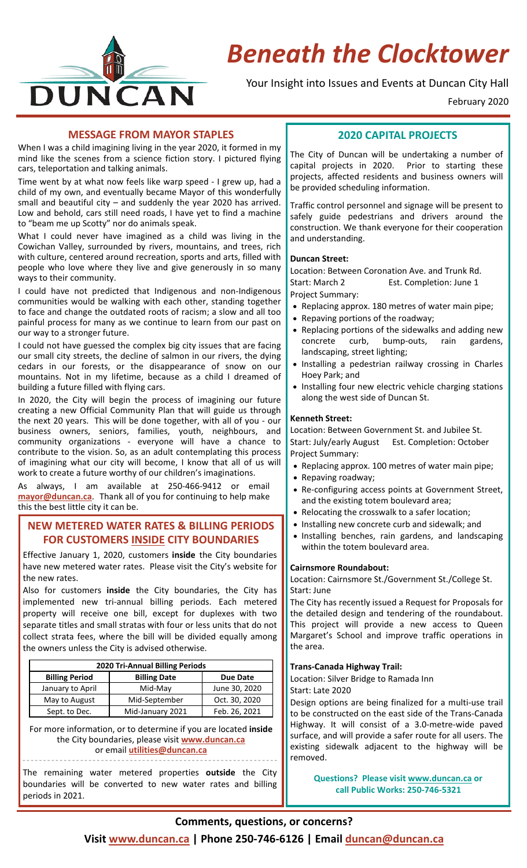

# *Beneath the Clocktower*

Your Insight into Issues and Events at Duncan City Hall

February 2020

#### **MESSAGE FROM MAYOR STAPLES**

When I was a child imagining living in the year 2020, it formed in my mind like the scenes from a science fiction story. I pictured flying cars, teleportation and talking animals.

Time went by at what now feels like warp speed ‐ I grew up, had a child of my own, and eventually became Mayor of this wonderfully small and beautiful city – and suddenly the year 2020 has arrived. Low and behold, cars still need roads, I have yet to find a machine to "beam me up Scotty" nor do animals speak.

What I could never have imagined as a child was living in the Cowichan Valley, surrounded by rivers, mountains, and trees, rich with culture, centered around recreation, sports and arts, filled with people who love where they live and give generously in so many ways to their community.

I could have not predicted that Indigenous and non‐Indigenous communities would be walking with each other, standing together to face and change the outdated roots of racism; a slow and all too painful process for many as we continue to learn from our past on our way to a stronger future.

I could not have guessed the complex big city issues that are facing our small city streets, the decline of salmon in our rivers, the dying cedars in our forests, or the disappearance of snow on our mountains. Not in my lifetime, because as a child I dreamed of building a future filled with flying cars.

In 2020, the City will begin the process of imagining our future creating a new Official Community Plan that will guide us through the next 20 years. This will be done together, with all of you ‐ our business owners, seniors, families, youth, neighbours, and community organizations ‐ everyone will have a chance to contribute to the vision. So, as an adult contemplating this process of imagining what our city will become, I know that all of us will work to create a future worthy of our children's imaginations.

As always, I am available at 250‐466‐9412 or email **mayor@duncan.ca**.Thank all of you for continuing to help make this the best little city it can be.

## **NEW METERED WATER RATES & BILLING PERIODS FOR CUSTOMERS INSIDE CITY BOUNDARIES**

Effective January 1, 2020, customers **inside** the City boundaries have new metered water rates. Please visit the City's website for the new rates.

Also for customers **inside** the City boundaries, the City has implemented new tri-annual billing periods. Each metered property will receive one bill, except for duplexes with two separate titles and small stratas with four or less units that do not collect strata fees, where the bill will be divided equally among the owners unless the City is advised otherwise.

| 2020 Tri-Annual Billing Periods |                     |               |  |
|---------------------------------|---------------------|---------------|--|
| <b>Billing Period</b>           | <b>Billing Date</b> | Due Date      |  |
| January to April                | Mid-May             | June 30, 2020 |  |
| May to August                   | Mid-September       | Oct. 30, 2020 |  |
| Sept. to Dec.                   | Mid-January 2021    | Feb. 26, 2021 |  |

For more information, or to determine if you are located **inside** the City boundaries, please visit **www.duncan.ca** or email **utilities@duncan.ca**

\_\_\_\_\_\_\_\_\_\_\_\_\_\_\_\_\_\_\_\_\_\_\_\_\_\_\_\_\_\_\_\_\_\_\_\_\_\_\_\_\_\_\_\_\_\_\_\_\_\_\_\_\_\_\_\_\_\_\_\_\_\_

The remaining water metered properties **outside** the City boundaries will be converted to new water rates and billing periods in 2021.

## **2020 CAPITAL PROJECTS**

The City of Duncan will be undertaking a number of capital projects in 2020. Prior to starting these projects, affected residents and business owners will be provided scheduling information.

Traffic control personnel and signage will be present to safely guide pedestrians and drivers around the construction. We thank everyone for their cooperation and understanding.

#### **Duncan Street:**

Location: Between Coronation Ave. and Trunk Rd. Start: March 2 Est. Completion: June 1 Project Summary:

- Replacing approx. 180 metres of water main pipe;
- Repaving portions of the roadway;
- Replacing portions of the sidewalks and adding new concrete curb, bump-outs, rain gardens, landscaping, street lighting;
- Installing a pedestrian railway crossing in Charles Hoey Park; and
- Installing four new electric vehicle charging stations along the west side of Duncan St.

#### **Kenneth Street:**

Location: Between Government St. and Jubilee St. Start: July/early August Est. Completion: October Project Summary:

- Replacing approx. 100 metres of water main pipe;
- Repaving roadway;
- Re‐configuring access points at Government Street, and the existing totem boulevard area;
- Relocating the crosswalk to a safer location;
- Installing new concrete curb and sidewalk; and
- Installing benches, rain gardens, and landscaping within the totem boulevard area.

#### **Cairnsmore Roundabout:**

Location: Cairnsmore St./Government St./College St. Start: June

The City has recently issued a Request for Proposals for the detailed design and tendering of the roundabout. This project will provide a new access to Queen Margaret's School and improve traffic operations in the area.

#### **Trans‐Canada Highway Trail:**

Location: Silver Bridge to Ramada Inn

Start: Late 2020

Design options are being finalized for a multi‐use trail to be constructed on the east side of the Trans‐Canada Highway. It will consist of a 3.0‐metre‐wide paved surface, and will provide a safer route for all users. The existing sidewalk adjacent to the highway will be removed.

> **Questions? Please visit www.duncan.ca or call Public Works: 250‐746‐5321**

#### **Visit www.duncan.ca | Phone 250‐746‐6126 | Email duncan@duncan.ca**